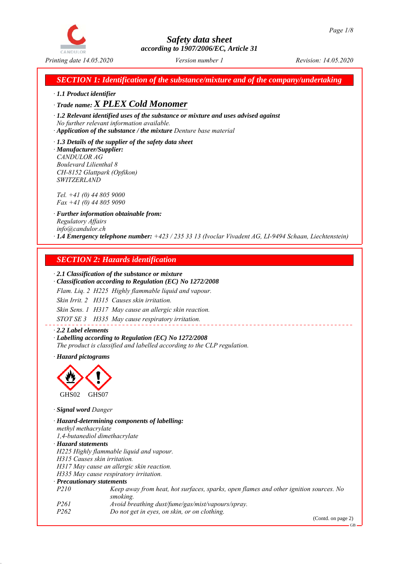

*SECTION 1: Identification of the substance/mixture and of the company/undertaking*

*ꞏ 1.1 Product identifier*

*ꞏ Trade name: X PLEX Cold Monomer*

*ꞏ 1.2 Relevant identified uses of the substance or mixture and uses advised against No further relevant information available.*

*ꞏ Application of the substance / the mixture Denture base material*

*ꞏ 1.3 Details of the supplier of the safety data sheet ꞏ Manufacturer/Supplier: CANDULOR AG Boulevard Lilienthal 8 CH-8152 Glattpark (Opfikon) SWITZERLAND*

*Tel. +41 (0) 44 805 9000 Fax +41 (0) 44 805 9090*

*ꞏ Further information obtainable from: Regulatory Affairs info@candulor.ch ꞏ 1.4 Emergency telephone number: +423 / 235 33 13 (Ivoclar Vivadent AG, LI-9494 Schaan, Liechtenstein)*

## *SECTION 2: Hazards identification*

#### *ꞏ 2.1 Classification of the substance or mixture*

*ꞏ Classification according to Regulation (EC) No 1272/2008*

*Flam. Liq. 2 H225 Highly flammable liquid and vapour.*

*Skin Irrit. 2 H315 Causes skin irritation.*

*Skin Sens. 1 H317 May cause an allergic skin reaction.*

*STOT SE 3 H335 May cause respiratory irritation.*

*ꞏ 2.2 Label elements ꞏ Labelling according to Regulation (EC) No 1272/2008 The product is classified and labelled according to the CLP regulation.*

*ꞏ Hazard pictograms*



*ꞏ Signal word Danger*

*ꞏ Hazard-determining components of labelling: methyl methacrylate 1,4-butanediol dimethacrylate ꞏ Hazard statements H225 Highly flammable liquid and vapour. H315 Causes skin irritation. H317 May cause an allergic skin reaction. H335 May cause respiratory irritation. ꞏ Precautionary statements P210 Keep away from heat, hot surfaces, sparks, open flames and other ignition sources. No smoking. P261 Avoid breathing dust/fume/gas/mist/vapours/spray. P262 Do not get in eyes, on skin, or on clothing.*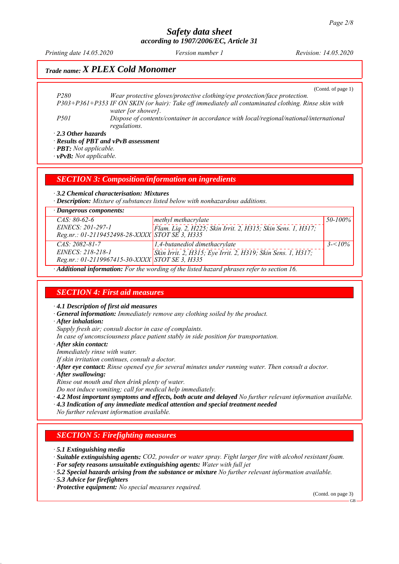*Printing date 14.05.2020 Revision: 14.05.2020 Version number 1*

# *Trade name: X PLEX Cold Monomer*

(Contd. of page 1)

*P280 Wear protective gloves/protective clothing/eye protection/face protection. P303+P361+P353 IF ON SKIN (or hair): Take off immediately all contaminated clothing. Rinse skin with water [or shower]. P501 Dispose of contents/container in accordance with local/regional/national/international regulations.*

*ꞏ 2.3 Other hazards*

*ꞏ Results of PBT and vPvB assessment*

*ꞏ PBT: Not applicable.*

*ꞏ vPvB: Not applicable.*

*SECTION 3: Composition/information on ingredients*

*ꞏ 3.2 Chemical characterisation: Mixtures*

*ꞏ Description: Mixture of substances listed below with nonhazardous additions.*

| · Dangerous components:                        |                                                              |            |
|------------------------------------------------|--------------------------------------------------------------|------------|
| $CAS: 80-62-6$                                 | methyl methacrylate                                          | 50-100%    |
| EINECS: 201-297-1                              | Flam. Liq. 2, H225; Skin Irrit. 2, H315; Skin Sens. 1, H317; |            |
| Reg.nr.: 01-2119452498-28-XXXX STOT SE 3, H335 |                                                              |            |
| $CAS: 2082-81-7$                               | $1,4$ -butanediol dimethacrylate                             | $3 - 10\%$ |
| <i>EINECS: 218-218-1</i>                       | Skin Irrit. 2, H315; Eye Irrit. 2, H319; Skin Sens. 1, H317; |            |
| Reg.nr.: 01-2119967415-30-XXXX STOT SE 3, H335 |                                                              |            |
|                                                |                                                              |            |

*ꞏ Additional information: For the wording of the listed hazard phrases refer to section 16.*

## *SECTION 4: First aid measures*

*ꞏ 4.1 Description of first aid measures*

*ꞏ General information: Immediately remove any clothing soiled by the product.*

*ꞏ After inhalation:*

*Supply fresh air; consult doctor in case of complaints.*

*In case of unconsciousness place patient stably in side position for transportation.*

*ꞏ After skin contact:*

*Immediately rinse with water.*

*If skin irritation continues, consult a doctor.*

- *ꞏ After eye contact: Rinse opened eye for several minutes under running water. Then consult a doctor.*
- *ꞏ After swallowing:*

*Rinse out mouth and then drink plenty of water.*

*Do not induce vomiting; call for medical help immediately.*

*ꞏ 4.2 Most important symptoms and effects, both acute and delayed No further relevant information available.*

*ꞏ 4.3 Indication of any immediate medical attention and special treatment needed*

*No further relevant information available.*

#### *SECTION 5: Firefighting measures*

*ꞏ 5.1 Extinguishing media*

*ꞏ Suitable extinguishing agents: CO2, powder or water spray. Fight larger fire with alcohol resistant foam.*

- *ꞏ For safety reasons unsuitable extinguishing agents: Water with full jet*
- *ꞏ 5.2 Special hazards arising from the substance or mixture No further relevant information available.*
- *ꞏ 5.3 Advice for firefighters*

*ꞏ Protective equipment: No special measures required.*

(Contd. on page 3)

GB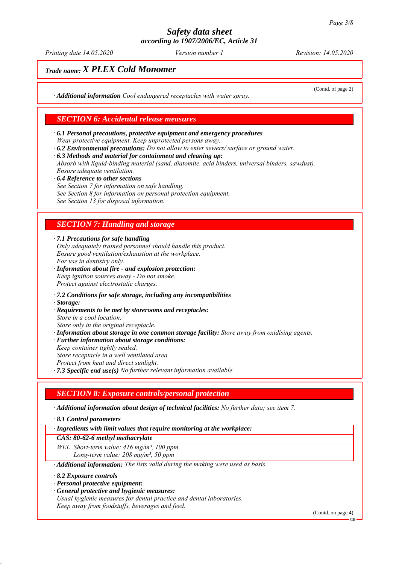*Printing date 14.05.2020 Revision: 14.05.2020 Version number 1*

(Contd. of page 2)

# *Trade name: X PLEX Cold Monomer*

*ꞏ Additional information Cool endangered receptacles with water spray.*

#### *SECTION 6: Accidental release measures*

- *ꞏ 6.1 Personal precautions, protective equipment and emergency procedures Wear protective equipment. Keep unprotected persons away.*
- *ꞏ 6.2 Environmental precautions: Do not allow to enter sewers/ surface or ground water.*
- *ꞏ 6.3 Methods and material for containment and cleaning up:*

*Absorb with liquid-binding material (sand, diatomite, acid binders, universal binders, sawdust). Ensure adequate ventilation.*

- *ꞏ 6.4 Reference to other sections*
- *See Section 7 for information on safe handling.*
- *See Section 8 for information on personal protection equipment.*

*See Section 13 for disposal information.*

#### *SECTION 7: Handling and storage*

*ꞏ 7.1 Precautions for safe handling*

*Only adequately trained personnel should handle this product. Ensure good ventilation/exhaustion at the workplace. For use in dentistry only.*

- *ꞏ Information about fire and explosion protection: Keep ignition sources away - Do not smoke. Protect against electrostatic charges.*
- *ꞏ 7.2 Conditions for safe storage, including any incompatibilities*
- *ꞏ Storage:*
- *ꞏ Requirements to be met by storerooms and receptacles: Store in a cool location. Store only in the original receptacle.*
- 
- *ꞏ Information about storage in one common storage facility: Store away from oxidising agents.*
- *ꞏ Further information about storage conditions:*
- *Keep container tightly sealed. Store receptacle in a well ventilated area. Protect from heat and direct sunlight.*
- *ꞏ 7.3 Specific end use(s) No further relevant information available.*

#### *SECTION 8: Exposure controls/personal protection*

*ꞏ Additional information about design of technical facilities: No further data; see item 7.*

*ꞏ 8.1 Control parameters*

*ꞏ Ingredients with limit values that require monitoring at the workplace:*

*CAS: 80-62-6 methyl methacrylate*

*WEL Short-term value: 416 mg/m³, 100 ppm*

*Long-term value: 208 mg/m³, 50 ppm*

*ꞏ Additional information: The lists valid during the making were used as basis.*

- *ꞏ 8.2 Exposure controls*
- *ꞏ Personal protective equipment:*
- *ꞏ General protective and hygienic measures:*
- *Usual hygienic measures for dental practice and dental laboratories. Keep away from foodstuffs, beverages and feed.*

(Contd. on page 4)

GB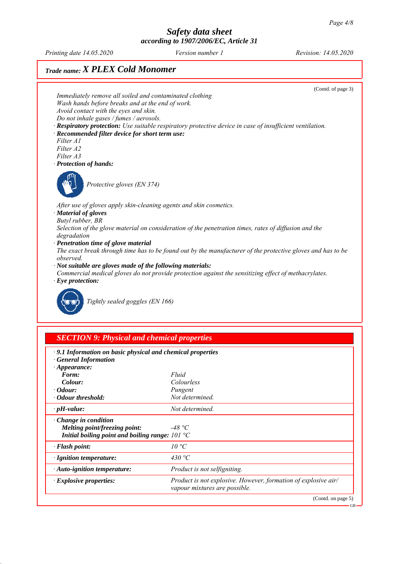$\overline{G}$ 

## *Safety data sheet according to 1907/2006/EC, Article 31*

*Printing date 14.05.2020 Revision: 14.05.2020 Version number 1*

# *Trade name: X PLEX Cold Monomer*



| · 9.1 Information on basic physical and chemical properties<br><b>General Information</b> |                                                                                                 |
|-------------------------------------------------------------------------------------------|-------------------------------------------------------------------------------------------------|
| $\cdot$ Appearance:                                                                       |                                                                                                 |
| Form:                                                                                     | Fluid                                                                                           |
| Colour:                                                                                   | Colourless                                                                                      |
| $\cdot$ Odour:                                                                            | Pungent                                                                                         |
| · Odour threshold:                                                                        | Not determined.                                                                                 |
| $\cdot$ pH-value:                                                                         | Not determined.                                                                                 |
| $\cdot$ Change in condition                                                               |                                                                                                 |
| Melting point/freezing point:                                                             | -48 °C                                                                                          |
| Initial boiling point and boiling range: $101 \text{ }^{\circ}\text{C}$                   |                                                                                                 |
| · Flash point:                                                                            | $10^{\circ}C$                                                                                   |
| · Ignition temperature:                                                                   | 430 °C                                                                                          |
| $\cdot$ Auto-ignition temperature:                                                        | Product is not selfigniting.                                                                    |
| $\cdot$ Explosive properties:                                                             | Product is not explosive. However, formation of explosive air/<br>vapour mixtures are possible. |
|                                                                                           | (Contd. on page 5)                                                                              |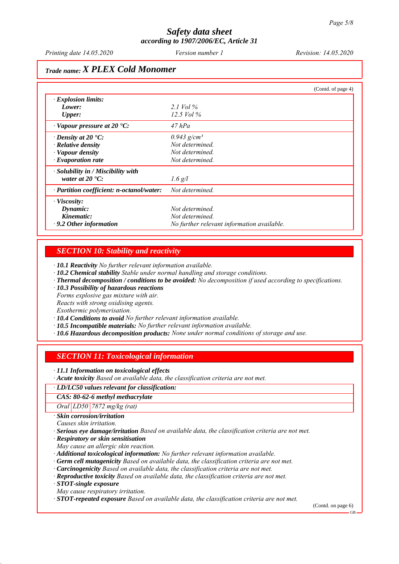## *Trade name: X PLEX Cold Monomer*

|                                           | (Contd. of page 4)                         |  |
|-------------------------------------------|--------------------------------------------|--|
| $\cdot$ Explosion limits:                 |                                            |  |
| Lower:                                    | 2.1 Vol $\%$                               |  |
| <b>Upper:</b>                             | 12.5 Vol $\%$                              |  |
| $\cdot$ Vapour pressure at 20 $\cdot$ C:  | $47$ hPa                                   |  |
| $\cdot$ Density at 20 $\cdot$ C:          | $0.943$ g/cm <sup>3</sup>                  |  |
| $\cdot$ Relative density                  | Not determined.                            |  |
| · Vapour density                          | Not determined.                            |  |
| $\cdot$ Evaporation rate                  | Not determined.                            |  |
| · Solubility in / Miscibility with        |                                            |  |
| water at $20^{\circ}$ C:                  | $1.6$ g/l                                  |  |
| · Partition coefficient: n-octanol/water: | Not determined.                            |  |
| $\cdot$ Viscosity:                        |                                            |  |
| Dynamic:                                  | Not determined.                            |  |
| Kinematic:                                | Not determined.                            |  |
| $\cdot$ 9.2 Other information             | No further relevant information available. |  |

#### *SECTION 10: Stability and reactivity*

*ꞏ 10.1 Reactivity No further relevant information available.*

- *ꞏ 10.2 Chemical stability Stable under normal handling and storage conditions.*
- *ꞏ Thermal decomposition / conditions to be avoided: No decomposition if used according to specifications.*
- *ꞏ 10.3 Possibility of hazardous reactions*

*Forms explosive gas mixture with air.*

*Reacts with strong oxidising agents.*

*Exothermic polymerisation.*

*ꞏ 10.4 Conditions to avoid No further relevant information available.*

- *ꞏ 10.5 Incompatible materials: No further relevant information available.*
- *ꞏ 10.6 Hazardous decomposition products: None under normal conditions of storage and use.*

## *SECTION 11: Toxicological information*

*ꞏ 11.1 Information on toxicological effects*

*ꞏ Acute toxicity Based on available data, the classification criteria are not met.*

#### *ꞏ LD/LC50 values relevant for classification:*

*CAS: 80-62-6 methyl methacrylate*

*Oral LD50 7872 mg/kg (rat)*

*ꞏ Skin corrosion/irritation*

*Causes skin irritation.*

*ꞏ Serious eye damage/irritation Based on available data, the classification criteria are not met.*

*ꞏ Respiratory or skin sensitisation*

*May cause an allergic skin reaction.*

*ꞏ Additional toxicological information: No further relevant information available.*

- *ꞏ Germ cell mutagenicity Based on available data, the classification criteria are not met.*
- *ꞏ Carcinogenicity Based on available data, the classification criteria are not met.*
- *ꞏ Reproductive toxicity Based on available data, the classification criteria are not met.*

*ꞏ STOT-single exposure*

*May cause respiratory irritation.*

*ꞏ STOT-repeated exposure Based on available data, the classification criteria are not met.*

(Contd. on page 6)

GB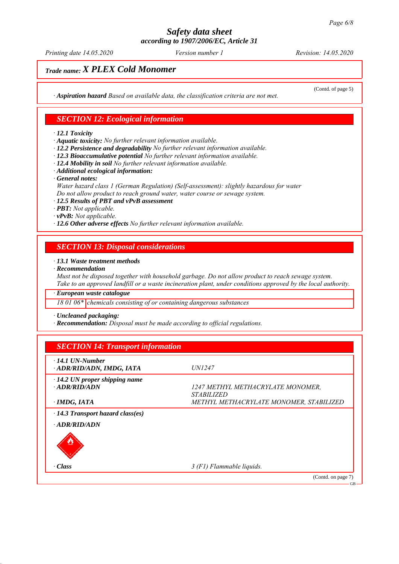*Printing date 14.05.2020 Revision: 14.05.2020 Version number 1*

(Contd. of page 5)

# *Trade name: X PLEX Cold Monomer*

*ꞏ Aspiration hazard Based on available data, the classification criteria are not met.*

#### *SECTION 12: Ecological information*

*ꞏ 12.1 Toxicity*

*ꞏ Aquatic toxicity: No further relevant information available.*

- *ꞏ 12.2 Persistence and degradability No further relevant information available.*
- *ꞏ 12.3 Bioaccumulative potential No further relevant information available.*
- *ꞏ 12.4 Mobility in soil No further relevant information available.*
- *ꞏ Additional ecological information:*
- *ꞏ General notes:*

*Water hazard class 1 (German Regulation) (Self-assessment): slightly hazardous for water Do not allow product to reach ground water, water course or sewage system.*

*ꞏ 12.5 Results of PBT and vPvB assessment*

*ꞏ PBT: Not applicable.*

*ꞏ vPvB: Not applicable.*

*ꞏ 12.6 Other adverse effects No further relevant information available.*

## *SECTION 13: Disposal considerations*

#### *ꞏ 13.1 Waste treatment methods*

*ꞏ Recommendation*

*Must not be disposed together with household garbage. Do not allow product to reach sewage system. Take to an approved landfill or a waste incineration plant, under conditions approved by the local authority.*

*ꞏ European waste catalogue*

*18 01 06\* chemicals consisting of or containing dangerous substances*

*ꞏ Uncleaned packaging:*

*ꞏ Recommendation: Disposal must be made according to official regulations.*

| $\cdot$ 14.1 UN-Number<br>· ADR/RID/ADN, IMDG, IATA   | <i>UN1247</i>                                                 |
|-------------------------------------------------------|---------------------------------------------------------------|
| $\cdot$ 14.2 UN proper shipping name<br>· ADR/RID/ADN | 1247 METHYL METHACRYLATE MONOMER,<br><i><b>STABILIZED</b></i> |
| $\cdot$ IMDG, IATA                                    | METHYL METHACRYLATE MONOMER, STABILIZED                       |
| $\cdot$ 14.3 Transport hazard class(es)               |                                                               |
| $\cdot$ ADR/RID/ADN                                   |                                                               |
|                                                       |                                                               |
| · Class                                               | 3 (F1) Flammable liquids.                                     |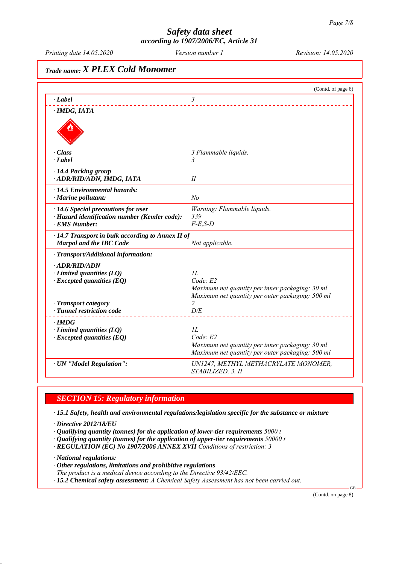# *Trade name: X PLEX Cold Monomer* (Contd. of page 6) *ꞏ Label 3 ꞏ IMDG, IATA ꞏ Class 3 Flammable liquids. ꞏ Label 3 ꞏ 14.4 Packing group ꞏ ADR/RID/ADN, IMDG, IATA II ꞏ 14.5 Environmental hazards: ꞏ Marine pollutant: No ꞏ 14.6 Special precautions for user Warning: Flammable liquids. ꞏ Hazard identification number (Kemler code): 339 ꞏ EMS Number: F-E,S-D ꞏ 14.7 Transport in bulk according to Annex II of Marpol and the IBC Code Not applicable. ꞏ Transport/Additional information: ꞏ ADR/RID/ADN <i>limited quantities (LQ) 1L*<br>*Code: Executed quantities (EO) Code: E2*  $\cdot$  *Excepted quantities (EQ) Maximum net quantity per inner packaging: 30 ml Maximum net quantity per outer packaging: 500 ml Transport category* **2**<br>*Tunnel restriction code D/E*  $\cdot$  **Tunnel restriction code** *ꞏ IMDG ꞏ Limited quantities (LQ) 1L ꞏ Excepted quantities (EQ) Code: E2 Maximum net quantity per inner packaging: 30 ml Maximum net quantity per outer packaging: 500 ml ꞏ UN "Model Regulation": UN1247, METHYL METHACRYLATE MONOMER, STABILIZED, 3, II*

## *SECTION 15: Regulatory information*

*ꞏ 15.1 Safety, health and environmental regulations/legislation specific for the substance or mixture*

*ꞏ Directive 2012/18/EU*

- *ꞏ Qualifying quantity (tonnes) for the application of lower-tier requirements 5000 t*
- *ꞏ Qualifying quantity (tonnes) for the application of upper-tier requirements 50000 t*
- *ꞏ REGULATION (EC) No 1907/2006 ANNEX XVII Conditions of restriction: 3*

*ꞏ National regulations:*

- *ꞏ Other regulations, limitations and prohibitive regulations*
- *The product is a medical device according to the Directive 93/42/EEC.*
- *ꞏ 15.2 Chemical safety assessment: A Chemical Safety Assessment has not been carried out.*

(Contd. on page 8)

GB